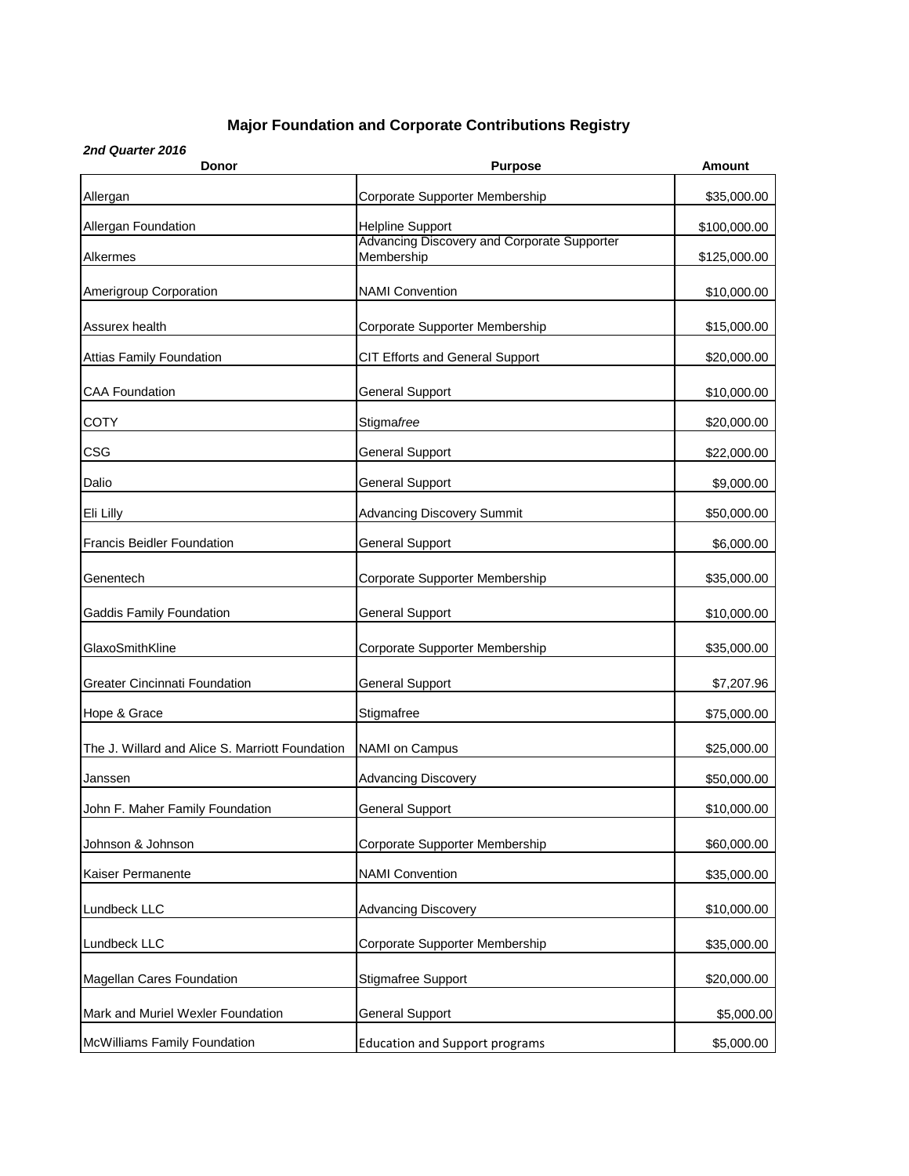## **Major Foundation and Corporate Contributions Registry**

*2nd Quarter 2016*

| Donor                                           | <b>Purpose</b>                                            | Amount       |
|-------------------------------------------------|-----------------------------------------------------------|--------------|
| Allergan                                        | Corporate Supporter Membership                            | \$35,000.00  |
| Allergan Foundation                             | <b>Helpline Support</b>                                   | \$100,000.00 |
| Alkermes                                        | Advancing Discovery and Corporate Supporter<br>Membership | \$125,000.00 |
| Amerigroup Corporation                          | <b>NAMI Convention</b>                                    | \$10,000.00  |
| Assurex health                                  | Corporate Supporter Membership                            | \$15,000.00  |
| <b>Attias Family Foundation</b>                 | CIT Efforts and General Support                           | \$20,000.00  |
| <b>CAA Foundation</b>                           | <b>General Support</b>                                    | \$10,000.00  |
| <b>COTY</b>                                     | Stigmafree                                                | \$20,000.00  |
| <b>CSG</b>                                      | <b>General Support</b>                                    | \$22,000.00  |
| Dalio                                           | <b>General Support</b>                                    | \$9,000.00   |
| Eli Lilly                                       | <b>Advancing Discovery Summit</b>                         | \$50,000.00  |
| <b>Francis Beidler Foundation</b>               | <b>General Support</b>                                    | \$6,000.00   |
| Genentech                                       | Corporate Supporter Membership                            | \$35,000.00  |
| Gaddis Family Foundation                        | <b>General Support</b>                                    | \$10,000.00  |
| GlaxoSmithKline                                 | Corporate Supporter Membership                            | \$35,000.00  |
| <b>Greater Cincinnati Foundation</b>            | General Support                                           | \$7,207.96   |
| Hope & Grace                                    | Stigmafree                                                | \$75,000.00  |
| The J. Willard and Alice S. Marriott Foundation | NAMI on Campus                                            | \$25,000.00  |
| Janssen                                         | <b>Advancing Discovery</b>                                | \$50,000.00  |
| John F. Maher Family Foundation                 | <b>General Support</b>                                    | \$10,000.00  |
| Johnson & Johnson                               | Corporate Supporter Membership                            | \$60,000.00  |
| Kaiser Permanente                               | <b>NAMI Convention</b>                                    | \$35,000.00  |
| Lundbeck LLC                                    | <b>Advancing Discovery</b>                                | \$10,000.00  |
| Lundbeck LLC                                    | Corporate Supporter Membership                            | \$35,000.00  |
| <b>Magellan Cares Foundation</b>                | <b>Stigmafree Support</b>                                 | \$20,000.00  |
| Mark and Muriel Wexler Foundation               | <b>General Support</b>                                    | \$5,000.00   |
| McWilliams Family Foundation                    | <b>Education and Support programs</b>                     | \$5,000.00   |